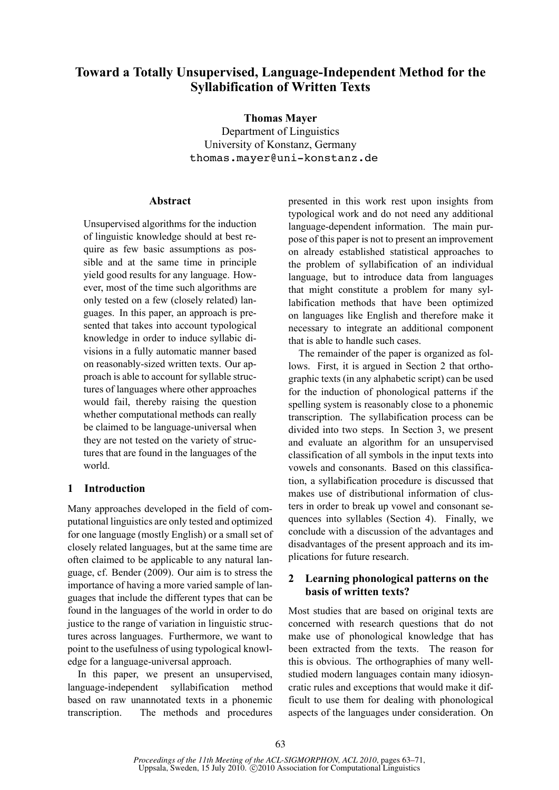# **Toward a Totally Unsupervised, Language-Independent Method for the Syllabification of Written Texts**

**Thomas Mayer**

Department of Linguistics University of Konstanz, Germany thomas.mayer@uni-konstanz.de

# **Abstract**

Unsupervised algorithms for the induction of linguistic knowledge should at best require as few basic assumptions as possible and at the same time in principle yield good results for any language. However, most of the time such algorithms are only tested on a few (closely related) languages. In this paper, an approach is presented that takes into account typological knowledge in order to induce syllabic divisions in a fully automatic manner based on reasonably-sized written texts. Our approach is able to account for syllable structures of languages where other approaches would fail, thereby raising the question whether computational methods can really be claimed to be language-universal when they are not tested on the variety of structures that are found in the languages of the world.

# **1 Introduction**

Many approaches developed in the field of computational linguistics are only tested and optimized for one language (mostly English) or a small set of closely related languages, but at the same time are often claimed to be applicable to any natural language, cf. Bender (2009). Our aim is to stress the importance of having a more varied sample of languages that include the different types that can be found in the languages of the world in order to do justice to the range of variation in linguistic structures across languages. Furthermore, we want to point to the usefulness of using typological knowledge for a language-universal approach.

In this paper, we present an unsupervised, language-independent syllabification method based on raw unannotated texts in a phonemic transcription. The methods and procedures presented in this work rest upon insights from typological work and do not need any additional language-dependent information. The main purpose of this paper is not to present an improvement on already established statistical approaches to the problem of syllabification of an individual language, but to introduce data from languages that might constitute a problem for many syllabification methods that have been optimized on languages like English and therefore make it necessary to integrate an additional component that is able to handle such cases.

The remainder of the paper is organized as follows. First, it is argued in Section 2 that orthographic texts (in any alphabetic script) can be used for the induction of phonological patterns if the spelling system is reasonably close to a phonemic transcription. The syllabification process can be divided into two steps. In Section 3, we present and evaluate an algorithm for an unsupervised classification of all symbols in the input texts into vowels and consonants. Based on this classification, a syllabification procedure is discussed that makes use of distributional information of clusters in order to break up vowel and consonant sequences into syllables (Section 4). Finally, we conclude with a discussion of the advantages and disadvantages of the present approach and its implications for future research.

# **2 Learning phonological patterns on the basis of written texts?**

Most studies that are based on original texts are concerned with research questions that do not make use of phonological knowledge that has been extracted from the texts. The reason for this is obvious. The orthographies of many wellstudied modern languages contain many idiosyncratic rules and exceptions that would make it difficult to use them for dealing with phonological aspects of the languages under consideration. On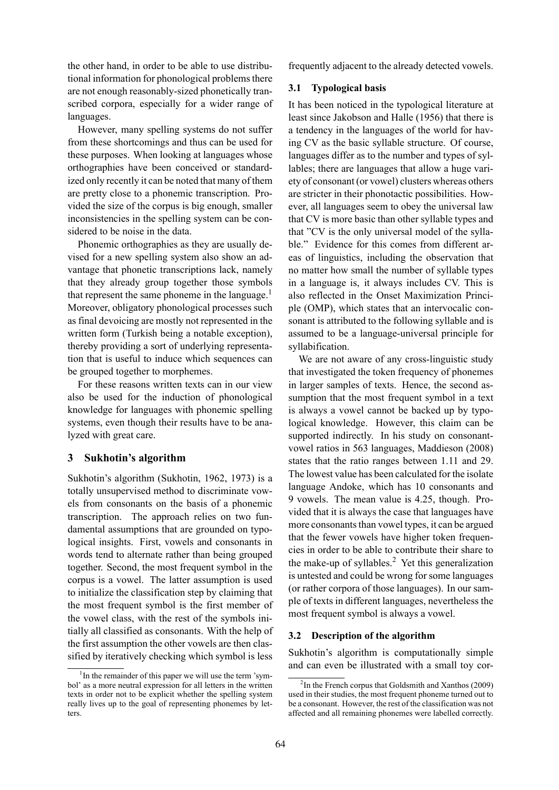the other hand, in order to be able to use distributional information for phonological problems there are not enough reasonably-sized phonetically transcribed corpora, especially for a wider range of languages.

However, many spelling systems do not suffer from these shortcomings and thus can be used for these purposes. When looking at languages whose orthographies have been conceived or standardized only recently it can be noted that many of them are pretty close to a phonemic transcription. Provided the size of the corpus is big enough, smaller inconsistencies in the spelling system can be considered to be noise in the data.

Phonemic orthographies as they are usually devised for a new spelling system also show an advantage that phonetic transcriptions lack, namely that they already group together those symbols that represent the same phoneme in the language. $<sup>1</sup>$ </sup> Moreover, obligatory phonological processes such as final devoicing are mostly not represented in the written form (Turkish being a notable exception), thereby providing a sort of underlying representation that is useful to induce which sequences can be grouped together to morphemes.

For these reasons written texts can in our view also be used for the induction of phonological knowledge for languages with phonemic spelling systems, even though their results have to be analyzed with great care.

# **3 Sukhotin's algorithm**

Sukhotin's algorithm (Sukhotin, 1962, 1973) is a totally unsupervised method to discriminate vowels from consonants on the basis of a phonemic transcription. The approach relies on two fundamental assumptions that are grounded on typological insights. First, vowels and consonants in words tend to alternate rather than being grouped together. Second, the most frequent symbol in the corpus is a vowel. The latter assumption is used to initialize the classification step by claiming that the most frequent symbol is the first member of the vowel class, with the rest of the symbols initially all classified as consonants. With the help of the first assumption the other vowels are then classified by iteratively checking which symbol is less frequently adjacent to the already detected vowels.

# **3.1 Typological basis**

It has been noticed in the typological literature at least since Jakobson and Halle (1956) that there is a tendency in the languages of the world for having CV as the basic syllable structure. Of course, languages differ as to the number and types of syllables; there are languages that allow a huge variety of consonant (or vowel) clusters whereas others are stricter in their phonotactic possibilities. However, all languages seem to obey the universal law that CV is more basic than other syllable types and that "CV is the only universal model of the syllable." Evidence for this comes from different areas of linguistics, including the observation that no matter how small the number of syllable types in a language is, it always includes CV. This is also reflected in the Onset Maximization Principle (OMP), which states that an intervocalic consonant is attributed to the following syllable and is assumed to be a language-universal principle for syllabification.

We are not aware of any cross-linguistic study that investigated the token frequency of phonemes in larger samples of texts. Hence, the second assumption that the most frequent symbol in a text is always a vowel cannot be backed up by typological knowledge. However, this claim can be supported indirectly. In his study on consonantvowel ratios in 563 languages, Maddieson (2008) states that the ratio ranges between 1.11 and 29. The lowest value has been calculated for the isolate language Andoke, which has 10 consonants and 9 vowels. The mean value is 4.25, though. Provided that it is always the case that languages have more consonants than vowel types, it can be argued that the fewer vowels have higher token frequencies in order to be able to contribute their share to the make-up of syllables.<sup>2</sup> Yet this generalization is untested and could be wrong for some languages (or rather corpora of those languages). In our sample of texts in different languages, nevertheless the most frequent symbol is always a vowel.

#### **3.2 Description of the algorithm**

Sukhotin's algorithm is computationally simple and can even be illustrated with a small toy cor-

<sup>&</sup>lt;sup>1</sup>In the remainder of this paper we will use the term 'symbol' as a more neutral expression for all letters in the written texts in order not to be explicit whether the spelling system really lives up to the goal of representing phonemes by letters.

<sup>&</sup>lt;sup>2</sup>In the French corpus that Goldsmith and Xanthos (2009) used in their studies, the most frequent phoneme turned out to be a consonant. However, the rest of the classification was not affected and all remaining phonemes were labelled correctly.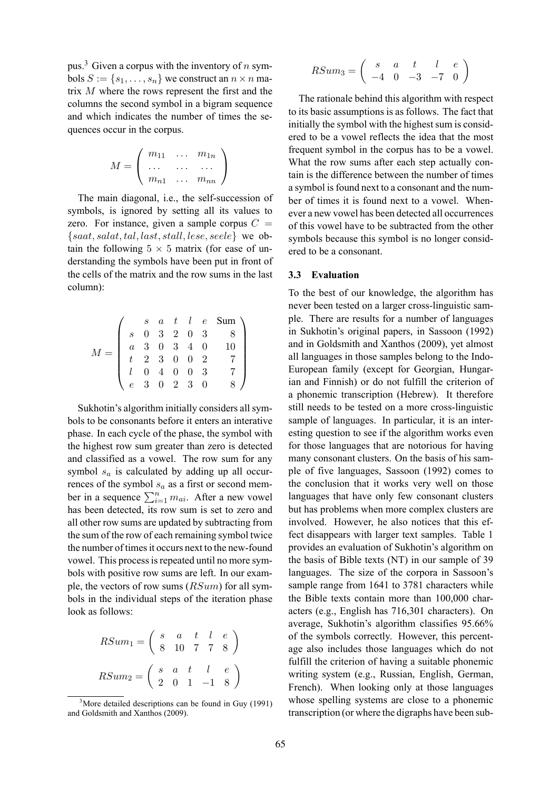pus.<sup>3</sup> Given a corpus with the inventory of n symbols  $S := \{s_1, \ldots, s_n\}$  we construct an  $n \times n$  matrix M where the rows represent the first and the columns the second symbol in a bigram sequence and which indicates the number of times the sequences occur in the corpus.

$$
M = \left(\begin{array}{ccc} m_{11} & \dots & m_{1n} \\ \dots & \dots & \dots \\ m_{n1} & \dots & m_{nn} \end{array}\right)
$$

The main diagonal, i.e., the self-succession of symbols, is ignored by setting all its values to zero. For instance, given a sample corpus  $C =$  ${saat, salat, tal, last, stall, lese, seele}$  we obtain the following  $5 \times 5$  matrix (for ease of understanding the symbols have been put in front of the cells of the matrix and the row sums in the last column):

|  |  |  |  | $\begin{array}{ccccccccc} & s & a & t & l & e & \text{Sum} \, \setminus \\ & 0 & 3 & 2 & 0 & 3 & 8 \\ & a & 3 & 0 & 3 & 4 & 0 & 10 \\ & t & 2 & 3 & 0 & 0 & 2 \\ & l & 0 & 4 & 0 & 0 & 3 \\ & e & 3 & 0 & 2 & 3 & 0 \\ \end{array}$ |
|--|--|--|--|-------------------------------------------------------------------------------------------------------------------------------------------------------------------------------------------------------------------------------------|
|  |  |  |  |                                                                                                                                                                                                                                     |
|  |  |  |  |                                                                                                                                                                                                                                     |

Sukhotin's algorithm initially considers all symbols to be consonants before it enters an interative phase. In each cycle of the phase, the symbol with the highest row sum greater than zero is detected and classified as a vowel. The row sum for any symbol  $s_a$  is calculated by adding up all occurrences of the symbol  $s_a$  as a first or second member in a sequence  $\sum_{i=1}^{n} m_{ai}$ . After a new vowel has been detected, its row sum is set to zero and all other row sums are updated by subtracting from the sum of the row of each remaining symbol twice the number of times it occurs next to the new-found vowel. This process is repeated until no more symbols with positive row sums are left. In our example, the vectors of row sums  $(RSum)$  for all symbols in the individual steps of the iteration phase look as follows:

$$
RSum_1 = \begin{pmatrix} s & a & t & l & e \\ 8 & 10 & 7 & 7 & 8 \end{pmatrix}
$$

$$
RSum_2 = \begin{pmatrix} s & a & t & l & e \\ 2 & 0 & 1 & -1 & 8 \end{pmatrix}
$$

$$
RSum_3=\left(\begin{array}{cccc} s&a&t&l&e\\-4&0&-3&-7&0\end{array}\right)
$$

The rationale behind this algorithm with respect to its basic assumptions is as follows. The fact that initially the symbol with the highest sum is considered to be a vowel reflects the idea that the most frequent symbol in the corpus has to be a vowel. What the row sums after each step actually contain is the difference between the number of times a symbol is found next to a consonant and the number of times it is found next to a vowel. Whenever a new vowel has been detected all occurrences of this vowel have to be subtracted from the other symbols because this symbol is no longer considered to be a consonant.

#### **3.3 Evaluation**

To the best of our knowledge, the algorithm has never been tested on a larger cross-linguistic sample. There are results for a number of languages in Sukhotin's original papers, in Sassoon (1992) and in Goldsmith and Xanthos (2009), yet almost all languages in those samples belong to the Indo-European family (except for Georgian, Hungarian and Finnish) or do not fulfill the criterion of a phonemic transcription (Hebrew). It therefore still needs to be tested on a more cross-linguistic sample of languages. In particular, it is an interesting question to see if the algorithm works even for those languages that are notorious for having many consonant clusters. On the basis of his sample of five languages, Sassoon (1992) comes to the conclusion that it works very well on those languages that have only few consonant clusters but has problems when more complex clusters are involved. However, he also notices that this effect disappears with larger text samples. Table 1 provides an evaluation of Sukhotin's algorithm on the basis of Bible texts (NT) in our sample of 39 languages. The size of the corpora in Sassoon's sample range from 1641 to 3781 characters while the Bible texts contain more than 100,000 characters (e.g., English has 716,301 characters). On average, Sukhotin's algorithm classifies 95.66% of the symbols correctly. However, this percentage also includes those languages which do not fulfill the criterion of having a suitable phonemic writing system (e.g., Russian, English, German, French). When looking only at those languages whose spelling systems are close to a phonemic transcription (or where the digraphs have been sub-

 $3^3$ More detailed descriptions can be found in Guy (1991) and Goldsmith and Xanthos (2009).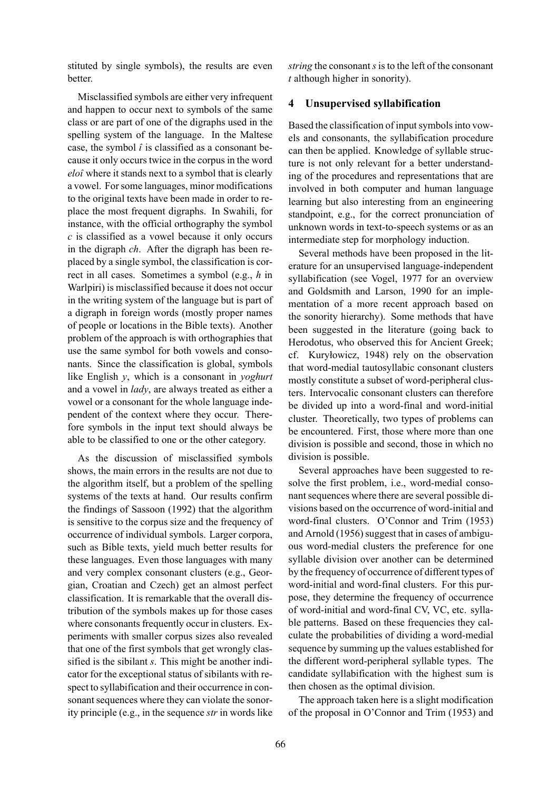stituted by single symbols), the results are even **better** 

Misclassified symbols are either very infrequent and happen to occur next to symbols of the same class or are part of one of the digraphs used in the spelling system of the language. In the Maltese case, the symbol *î* is classified as a consonant because it only occurs twice in the corpus in the word *eloî* where it stands next to a symbol that is clearly a vowel. For some languages, minor modifications to the original texts have been made in order to replace the most frequent digraphs. In Swahili, for instance, with the official orthography the symbol *c* is classified as a vowel because it only occurs in the digraph *ch*. After the digraph has been replaced by a single symbol, the classification is correct in all cases. Sometimes a symbol (e.g., *h* in Warlpiri) is misclassified because it does not occur in the writing system of the language but is part of a digraph in foreign words (mostly proper names of people or locations in the Bible texts). Another problem of the approach is with orthographies that use the same symbol for both vowels and consonants. Since the classification is global, symbols like English *y*, which is a consonant in *yoghurt* and a vowel in *lady*, are always treated as either a vowel or a consonant for the whole language independent of the context where they occur. Therefore symbols in the input text should always be able to be classified to one or the other category.

As the discussion of misclassified symbols shows, the main errors in the results are not due to the algorithm itself, but a problem of the spelling systems of the texts at hand. Our results confirm the findings of Sassoon (1992) that the algorithm is sensitive to the corpus size and the frequency of occurrence of individual symbols. Larger corpora, such as Bible texts, yield much better results for these languages. Even those languages with many and very complex consonant clusters (e.g., Georgian, Croatian and Czech) get an almost perfect classification. It is remarkable that the overall distribution of the symbols makes up for those cases where consonants frequently occur in clusters. Experiments with smaller corpus sizes also revealed that one of the first symbols that get wrongly classified is the sibilant *s*. This might be another indicator for the exceptional status of sibilants with respect to syllabification and their occurrence in consonant sequences where they can violate the sonority principle (e.g., in the sequence *str* in words like

*string* the consonant *s* is to the left of the consonant *t* although higher in sonority).

#### **4 Unsupervised syllabification**

Based the classification of input symbols into vowels and consonants, the syllabification procedure can then be applied. Knowledge of syllable structure is not only relevant for a better understanding of the procedures and representations that are involved in both computer and human language learning but also interesting from an engineering standpoint, e.g., for the correct pronunciation of unknown words in text-to-speech systems or as an intermediate step for morphology induction.

Several methods have been proposed in the literature for an unsupervised language-independent syllabification (see Vogel, 1977 for an overview and Goldsmith and Larson, 1990 for an implementation of a more recent approach based on the sonority hierarchy). Some methods that have been suggested in the literature (going back to Herodotus, who observed this for Ancient Greek; cf. Kuryłowicz, 1948) rely on the observation that word-medial tautosyllabic consonant clusters mostly constitute a subset of word-peripheral clusters. Intervocalic consonant clusters can therefore be divided up into a word-final and word-initial cluster. Theoretically, two types of problems can be encountered. First, those where more than one division is possible and second, those in which no division is possible.

Several approaches have been suggested to resolve the first problem, i.e., word-medial consonant sequences where there are several possible divisions based on the occurrence of word-initial and word-final clusters. O'Connor and Trim (1953) and Arnold (1956) suggest that in cases of ambiguous word-medial clusters the preference for one syllable division over another can be determined by the frequency of occurrence of different types of word-initial and word-final clusters. For this purpose, they determine the frequency of occurrence of word-initial and word-final CV, VC, etc. syllable patterns. Based on these frequencies they calculate the probabilities of dividing a word-medial sequence by summing up the values established for the different word-peripheral syllable types. The candidate syllabification with the highest sum is then chosen as the optimal division.

The approach taken here is a slight modification of the proposal in O'Connor and Trim (1953) and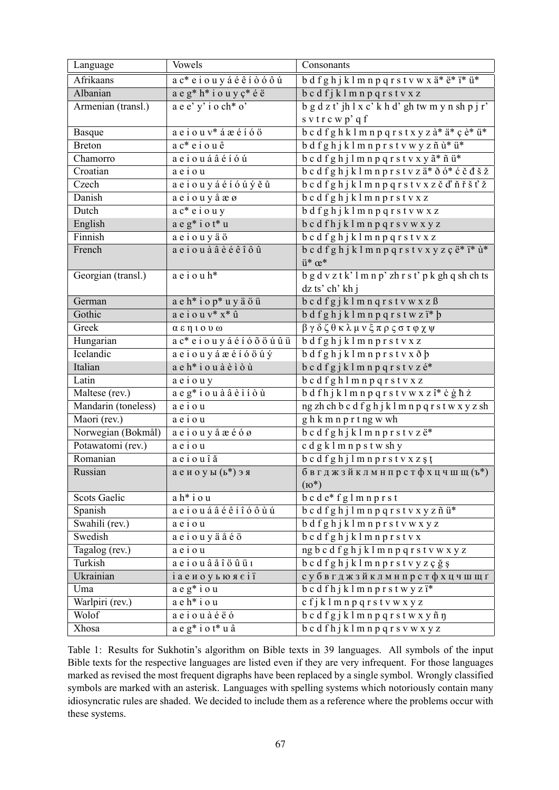| Language            | Vowels                                                              | Consonants                                                                   |
|---------------------|---------------------------------------------------------------------|------------------------------------------------------------------------------|
| Afrikaans           | a c* e i o u y á é ê í ò ó ô ú                                      | bdfghjklmnpqrstvwxä*ë*ï*ü*                                                   |
| Albanian            | a e g* h* i o u y ç* é ë                                            | bcdfjklmnpqrstvxz                                                            |
| Armenian (transl.)  | a e e' y' i o ch* o'                                                | $b$ g d z t' jh l x c' k h d' gh tw m y n sh p j r'                          |
|                     |                                                                     | s v t r c w p' q f                                                           |
| <b>Basque</b>       | $a e\overline{i} o u v^*$ á æ é í ó ö                               | b c d f g h k l m n p q r s t x y z à* ä* ç è* ü*                            |
| <b>Breton</b>       | $ac*$ e i o u ê                                                     | bdfghjklmnprstvwyzñù*ü*                                                      |
| Chamorro            | aeiouáâéióú                                                         | b c d f g h j l m n p q r s t v x y $\tilde{a}^*$ ñ ü*                       |
| Croatian            | aeiou                                                               | b c d f g h j k l m n p r s t v z ä* ð ó* ć č đ š ž                          |
| Czech               | aeiouyáéíóúýěů                                                      | b c d f g h j k l m n p q r s t v x z č ď ň ř š ť ž                          |
| Danish              | aeiouy å æ ø                                                        | bcdfghjklmnprstvxz                                                           |
| Dutch               | $a c^* e i o u y$                                                   | bdfghjklmnpqrstvwxz                                                          |
| English             | a e g* i o t* u                                                     | b c d f h j k l m n p q r s v w x y z                                        |
| Finnish             | aeiouyäö                                                            | bcdfghjklmnpqrstvxz                                                          |
| French              | aeiou à â è é ê î ô û                                               | b c d f g h j k l m n p q r s t v x y z ç ë* ï* ù*                           |
|                     |                                                                     | $ü^* \times$                                                                 |
| Georgian (transl.)  | $a e i o u h*$                                                      | $b$ g d v z t k' l m n p' zh r s t' p k gh q sh ch ts                        |
|                     |                                                                     | dz ts' ch' kh j                                                              |
| German              | a e h* i o p* u y ä ö ü                                             | bcdfgjklmnqrstvwxzß                                                          |
| Gothic              | $a e i o u v^* x^* \hat{u}$                                         | bdfghjklmnpqrstwzï*b                                                         |
| Greek               | αεηιουω                                                             | βγδζθκλμνξπρςστφχψ                                                           |
| Hungarian           | a c* e i o u y á é í ó õ ö ú û ü                                    | bdfghjklmnprstvxz                                                            |
| Icelandic           | aeiouyáæéíóöúý                                                      | bdfghjklmnprstvxðþ                                                           |
| Italian             | a e h* i o u à è ì ò ù                                              | b c d f g j k l m n p q r s t v z é*                                         |
| Latin               | aeiouy                                                              | bcdfghlmnpqrstvxz                                                            |
| Maltese (rev.)      | $a e g^* i o u \grave{a} \hat{a} \grave{e} i i \grave{o} \grave{u}$ | bdfhjklmnpqrstvwxzî* cghż                                                    |
| Mandarin (toneless) | aeiou                                                               | ng zh ch b c d f g h j k l m n p q r s t w x y z sh                          |
| Maori (rev.)        | aeiou                                                               | ghkmnprtngwwh                                                                |
| Norwegian (Bokmål)  | aeiouy å æéóø                                                       | $b$ c d f g h j k l m n p r s t v z $e^*$                                    |
| Potawatomi (rev.)   | aeiou                                                               | c d g k l m n p s t w sh y                                                   |
| Romanian            | aeiouîă                                                             | bcdfghjlmnprstvxzșț                                                          |
| Russian             | аеиоуы (ь*) эя                                                      | бвгджзйклмнпрстфхцчшщ $(\mathbf{b}^*)$                                       |
|                     |                                                                     | $(6^*)$                                                                      |
| <b>Scots Gaelic</b> | ah*iou                                                              | $b$ c d $e^*$ f g l m n p r s t                                              |
| Spanish             | aeiouáâéêíîóôùú                                                     | bcdfghjlmnpqrstvxyzñü*                                                       |
| Swahili (rev.)      | aeiou                                                               | bdfghjklmnprstvwxyz                                                          |
| Swedish             | aeiouyäåéö                                                          | $b$ c d f g h j k l m n p r s t v x                                          |
| Tagalog (rev.)      | aeiou                                                               | $\overline{\rm ng\,b\,c\,d\,f\,g\,h\,j\,k\,l\,m\,n\,p\,q\,r\,s}$ t v w x y z |
| Turkish             | $a$ e i o u â å î ö û ü 1                                           | b c d f g h j k l m n p r s t v y z ç ğ ş                                    |
| Ukrainian           | <i>i</i> аеиоуьюясії                                                | субвгджзйклмнпрстфхцчшщґ                                                     |
| Uma                 | $a e g^* i o u$                                                     | $b$ c d f h j k l m n p r s t w y z $i^*$                                    |
| Warlpiri (rev.)     | $a e h * i o u$                                                     | $\overline{cf}$ klmnpqrstvwxyz                                               |
| Wolof               | aeiouàéëó                                                           | b c d f g j k l m n p q r s t w x y ñ ŋ                                      |
| Xhosa               | $a e g^* i o t^* u \hat{a}$                                         | b c d f h j k l m n p q r s v w x y z                                        |

Table 1: Results for Sukhotin's algorithm on Bible texts in 39 languages. All symbols of the input Bible texts for the respective languages are listed even if they are very infrequent. For those languages marked as revised the most frequent digraphs have been replaced by a single symbol. Wrongly classified symbols are marked with an asterisk. Languages with spelling systems which notoriously contain many idiosyncratic rules are shaded. We decided to include them as a reference where the problems occur with these systems.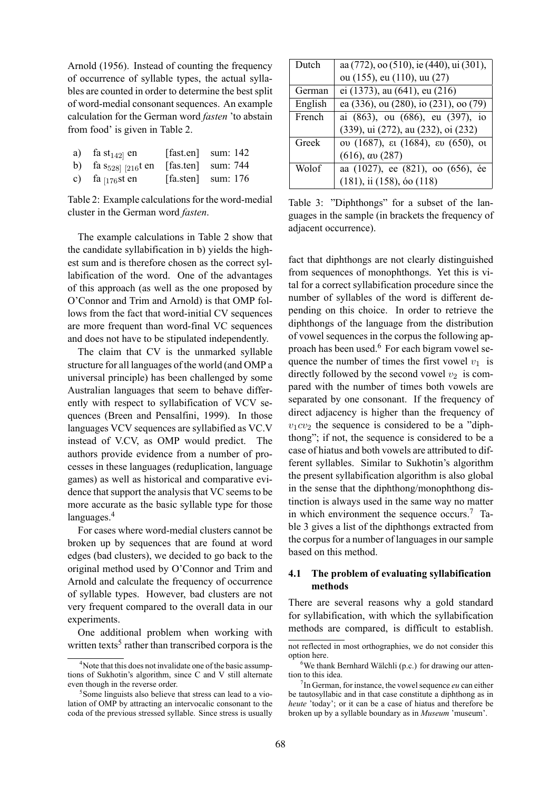Arnold (1956). Instead of counting the frequency of occurrence of syllable types, the actual syllables are counted in order to determine the best split of word-medial consonant sequences. An example calculation for the German word *fasten* 'to abstain from food' is given in Table 2.

| a) fa st <sub>142</sub> en                  | [fast.en] sum: $142$ |
|---------------------------------------------|----------------------|
| b) fa $s_{528}$ [216t en [fas.ten] sum: 744 |                      |
| c) fa $_{[176}$ st en                       | [fa.sten] sum: $176$ |

Table 2: Example calculations for the word-medial cluster in the German word *fasten*.

The example calculations in Table 2 show that the candidate syllabification in b) yields the highest sum and is therefore chosen as the correct syllabification of the word. One of the advantages of this approach (as well as the one proposed by O'Connor and Trim and Arnold) is that OMP follows from the fact that word-initial CV sequences are more frequent than word-final VC sequences and does not have to be stipulated independently.

The claim that CV is the unmarked syllable structure for all languages of the world (and OMP a universal principle) has been challenged by some Australian languages that seem to behave differently with respect to syllabification of VCV sequences (Breen and Pensalfini, 1999). In those languages VCV sequences are syllabified as VC.V instead of V.CV, as OMP would predict. The authors provide evidence from a number of processes in these languages (reduplication, language games) as well as historical and comparative evidence that support the analysis that VC seems to be more accurate as the basic syllable type for those languages.<sup>4</sup>

For cases where word-medial clusters cannot be broken up by sequences that are found at word edges (bad clusters), we decided to go back to the original method used by O'Connor and Trim and Arnold and calculate the frequency of occurrence of syllable types. However, bad clusters are not very frequent compared to the overall data in our experiments.

One additional problem when working with written texts<sup>5</sup> rather than transcribed corpora is the

| Dutch   | aa (772), oo (510), ie (440), ui (301), |
|---------|-----------------------------------------|
|         | ou (155), eu (110), uu (27)             |
| German  | ei (1373), au (641), eu (216)           |
| English | ea (336), ou (280), io (231), oo (79)   |
| French  | ai (863), ou (686), eu (397), io        |
|         | (339), ui (272), au (232), oi (232)     |
| Greek   | ου (1687), ει (1684), ευ (650), οι      |
|         | $(616)$ , av $(287)$                    |
| Wolof   | aa (1027), ee (821), oo (656), ée       |
|         | $(181)$ , ii $(158)$ , óo $(118)$       |

Table 3: "Diphthongs" for a subset of the languages in the sample (in brackets the frequency of adjacent occurrence).

fact that diphthongs are not clearly distinguished from sequences of monophthongs. Yet this is vital for a correct syllabification procedure since the number of syllables of the word is different depending on this choice. In order to retrieve the diphthongs of the language from the distribution of vowel sequences in the corpus the following approach has been used.<sup>6</sup> For each bigram vowel sequence the number of times the first vowel  $v_1$  is directly followed by the second vowel  $v_2$  is compared with the number of times both vowels are separated by one consonant. If the frequency of direct adjacency is higher than the frequency of  $v_1cv_2$  the sequence is considered to be a "diphthong"; if not, the sequence is considered to be a case of hiatus and both vowels are attributed to different syllables. Similar to Sukhotin's algorithm the present syllabification algorithm is also global in the sense that the diphthong/monophthong distinction is always used in the same way no matter in which environment the sequence occurs.<sup>7</sup> Table 3 gives a list of the diphthongs extracted from the corpus for a number of languages in our sample based on this method.

# **4.1 The problem of evaluating syllabification methods**

There are several reasons why a gold standard for syllabification, with which the syllabification methods are compared, is difficult to establish.

<sup>&</sup>lt;sup>4</sup>Note that this does not invalidate one of the basic assumptions of Sukhotin's algorithm, since C and V still alternate even though in the reverse order.

<sup>&</sup>lt;sup>5</sup>Some linguists also believe that stress can lead to a violation of OMP by attracting an intervocalic consonant to the coda of the previous stressed syllable. Since stress is usually

not reflected in most orthographies, we do not consider this option here.

 $6$ We thank Bernhard Wälchli (p.c.) for drawing our attention to this idea.

<sup>7</sup> In German, for instance, the vowel sequence *eu* can either be tautosyllabic and in that case constitute a diphthong as in *heute* 'today'; or it can be a case of hiatus and therefore be broken up by a syllable boundary as in *Museum* 'museum'.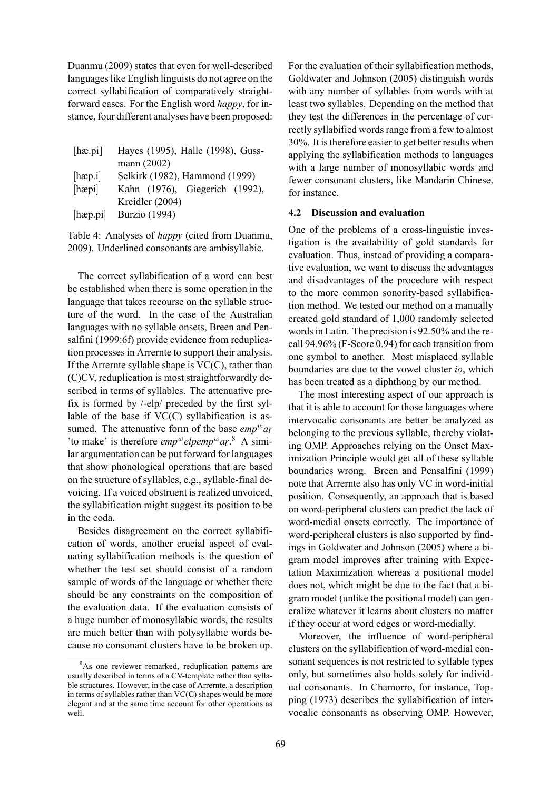Duanmu (2009) states that even for well-described languages like English linguists do not agree on the correct syllabification of comparatively straightforward cases. For the English word *happy*, for instance, four different analyses have been proposed:

| [ha.pi]               | Hayes (1995), Halle (1998), Guss- |
|-----------------------|-----------------------------------|
|                       | mann (2002)                       |
| $[{\rm h\alpha p.i}]$ | Selkirk (1982), Hammond (1999)    |
| [hepi]                | Kahn (1976), Giegerich (1992),    |
|                       | Kreidler (2004)                   |
| $[{\rm hæp.pi}]$      | <b>Burzio</b> (1994)              |

Table 4: Analyses of *happy* (cited from Duanmu, 2009). Underlined consonants are ambisyllabic.

The correct syllabification of a word can best be established when there is some operation in the language that takes recourse on the syllable structure of the word. In the case of the Australian languages with no syllable onsets, Breen and Pensalfini (1999:6f) provide evidence from reduplication processes in Arrernte to support their analysis. If the Arrernte syllable shape is  $VC(C)$ , rather than (C)CV, reduplication is most straightforwardly described in terms of syllables. The attenuative prefix is formed by /-elp/ preceded by the first syllable of the base if  $VC(C)$  syllabification is assumed. The attenuative form of the base *emp*<sup>w</sup>ar 'to make' is therefore *emp*<sup>w</sup> elpemp<sup>w</sup> ar.<sup>8</sup> A similar argumentation can be put forward for languages that show phonological operations that are based on the structure of syllables, e.g., syllable-final devoicing. If a voiced obstruent is realized unvoiced, the syllabification might suggest its position to be in the coda.

Besides disagreement on the correct syllabification of words, another crucial aspect of evaluating syllabification methods is the question of whether the test set should consist of a random sample of words of the language or whether there should be any constraints on the composition of the evaluation data. If the evaluation consists of a huge number of monosyllabic words, the results are much better than with polysyllabic words because no consonant clusters have to be broken up.

For the evaluation of their syllabification methods, Goldwater and Johnson (2005) distinguish words with any number of syllables from words with at least two syllables. Depending on the method that they test the differences in the percentage of correctly syllabified words range from a few to almost 30%. It is therefore easier to get better results when applying the syllabification methods to languages with a large number of monosyllabic words and fewer consonant clusters, like Mandarin Chinese, for instance.

#### **4.2 Discussion and evaluation**

One of the problems of a cross-linguistic investigation is the availability of gold standards for evaluation. Thus, instead of providing a comparative evaluation, we want to discuss the advantages and disadvantages of the procedure with respect to the more common sonority-based syllabification method. We tested our method on a manually created gold standard of 1,000 randomly selected words in Latin. The precision is 92.50% and the recall 94.96% (F-Score 0.94) for each transition from one symbol to another. Most misplaced syllable boundaries are due to the vowel cluster *io*, which has been treated as a diphthong by our method.

The most interesting aspect of our approach is that it is able to account for those languages where intervocalic consonants are better be analyzed as belonging to the previous syllable, thereby violating OMP. Approaches relying on the Onset Maximization Principle would get all of these syllable boundaries wrong. Breen and Pensalfini (1999) note that Arrernte also has only VC in word-initial position. Consequently, an approach that is based on word-peripheral clusters can predict the lack of word-medial onsets correctly. The importance of word-peripheral clusters is also supported by findings in Goldwater and Johnson (2005) where a bigram model improves after training with Expectation Maximization whereas a positional model does not, which might be due to the fact that a bigram model (unlike the positional model) can generalize whatever it learns about clusters no matter if they occur at word edges or word-medially.

Moreover, the influence of word-peripheral clusters on the syllabification of word-medial consonant sequences is not restricted to syllable types only, but sometimes also holds solely for individual consonants. In Chamorro, for instance, Topping (1973) describes the syllabification of intervocalic consonants as observing OMP. However,

<sup>&</sup>lt;sup>8</sup>As one reviewer remarked, reduplication patterns are usually described in terms of a CV-template rather than syllable structures. However, in the case of Arrernte, a description in terms of syllables rather than VC(C) shapes would be more elegant and at the same time account for other operations as well.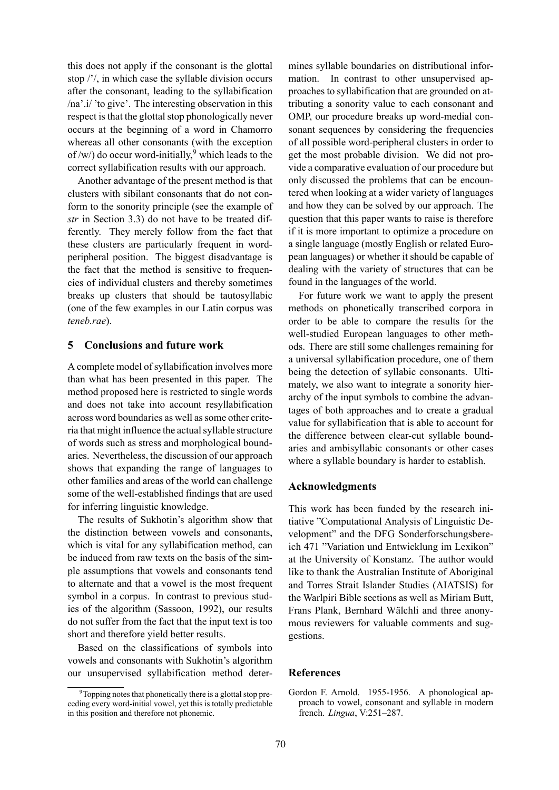this does not apply if the consonant is the glottal stop /'/, in which case the syllable division occurs after the consonant, leading to the syllabification /na'.i/ 'to give'. The interesting observation in this respect is that the glottal stop phonologically never occurs at the beginning of a word in Chamorro whereas all other consonants (with the exception of /w/) do occur word-initially,<sup>9</sup> which leads to the correct syllabification results with our approach.

Another advantage of the present method is that clusters with sibilant consonants that do not conform to the sonority principle (see the example of *str* in Section 3.3) do not have to be treated differently. They merely follow from the fact that these clusters are particularly frequent in wordperipheral position. The biggest disadvantage is the fact that the method is sensitive to frequencies of individual clusters and thereby sometimes breaks up clusters that should be tautosyllabic (one of the few examples in our Latin corpus was *teneb.rae*).

# **5 Conclusions and future work**

A complete model of syllabification involves more than what has been presented in this paper. The method proposed here is restricted to single words and does not take into account resyllabification across word boundaries as well as some other criteria that might influence the actual syllable structure of words such as stress and morphological boundaries. Nevertheless, the discussion of our approach shows that expanding the range of languages to other families and areas of the world can challenge some of the well-established findings that are used for inferring linguistic knowledge.

The results of Sukhotin's algorithm show that the distinction between vowels and consonants, which is vital for any syllabification method, can be induced from raw texts on the basis of the simple assumptions that vowels and consonants tend to alternate and that a vowel is the most frequent symbol in a corpus. In contrast to previous studies of the algorithm (Sassoon, 1992), our results do not suffer from the fact that the input text is too short and therefore yield better results.

Based on the classifications of symbols into vowels and consonants with Sukhotin's algorithm our unsupervised syllabification method deter-

mines syllable boundaries on distributional information. In contrast to other unsupervised approaches to syllabification that are grounded on attributing a sonority value to each consonant and OMP, our procedure breaks up word-medial consonant sequences by considering the frequencies of all possible word-peripheral clusters in order to get the most probable division. We did not provide a comparative evaluation of our procedure but only discussed the problems that can be encountered when looking at a wider variety of languages and how they can be solved by our approach. The question that this paper wants to raise is therefore if it is more important to optimize a procedure on a single language (mostly English or related European languages) or whether it should be capable of dealing with the variety of structures that can be found in the languages of the world.

For future work we want to apply the present methods on phonetically transcribed corpora in order to be able to compare the results for the well-studied European languages to other methods. There are still some challenges remaining for a universal syllabification procedure, one of them being the detection of syllabic consonants. Ultimately, we also want to integrate a sonority hierarchy of the input symbols to combine the advantages of both approaches and to create a gradual value for syllabification that is able to account for the difference between clear-cut syllable boundaries and ambisyllabic consonants or other cases where a syllable boundary is harder to establish.

### **Acknowledgments**

This work has been funded by the research initiative "Computational Analysis of Linguistic Development" and the DFG Sonderforschungsbereich 471 "Variation und Entwicklung im Lexikon" at the University of Konstanz. The author would like to thank the Australian Institute of Aboriginal and Torres Strait Islander Studies (AIATSIS) for the Warlpiri Bible sections as well as Miriam Butt, Frans Plank, Bernhard Wälchli and three anonymous reviewers for valuable comments and suggestions.

### **References**

Gordon F. Arnold. 1955-1956. A phonological approach to vowel, consonant and syllable in modern french. *Lingua*, V:251–287.

 $9^9$ Topping notes that phonetically there is a glottal stop preceding every word-initial vowel, yet this is totally predictable in this position and therefore not phonemic.